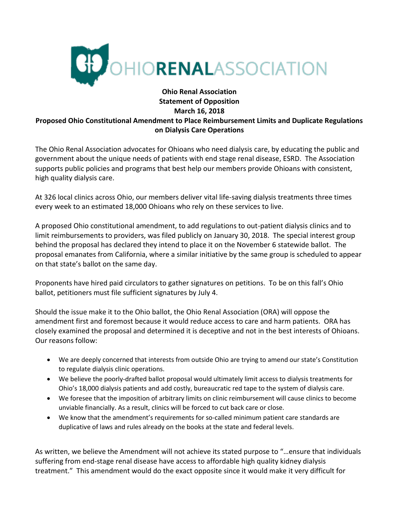

## **Ohio Renal Association Statement of Opposition March 16, 2018 Proposed Ohio Constitutional Amendment to Place Reimbursement Limits and Duplicate Regulations on Dialysis Care Operations**

The Ohio Renal Association advocates for Ohioans who need dialysis care, by educating the public and government about the unique needs of patients with end stage renal disease, ESRD. The Association supports public policies and programs that best help our members provide Ohioans with consistent, high quality dialysis care.

At 326 local clinics across Ohio, our members deliver vital life-saving dialysis treatments three times every week to an estimated 18,000 Ohioans who rely on these services to live.

A proposed Ohio constitutional amendment, to add regulations to out-patient dialysis clinics and to limit reimbursements to providers, was filed publicly on January 30, 2018. The special interest group behind the proposal has declared they intend to place it on the November 6 statewide ballot. The proposal emanates from California, where a similar initiative by the same group is scheduled to appear on that state's ballot on the same day.

Proponents have hired paid circulators to gather signatures on petitions. To be on this fall's Ohio ballot, petitioners must file sufficient signatures by July 4.

Should the issue make it to the Ohio ballot, the Ohio Renal Association (ORA) will oppose the amendment first and foremost because it would reduce access to care and harm patients. ORA has closely examined the proposal and determined it is deceptive and not in the best interests of Ohioans. Our reasons follow:

- We are deeply concerned that interests from outside Ohio are trying to amend our state's Constitution to regulate dialysis clinic operations.
- We believe the poorly-drafted ballot proposal would ultimately limit access to dialysis treatments for Ohio's 18,000 dialysis patients and add costly, bureaucratic red tape to the system of dialysis care.
- We foresee that the imposition of arbitrary limits on clinic reimbursement will cause clinics to become unviable financially. As a result, clinics will be forced to cut back care or close.
- We know that the amendment's requirements for so-called minimum patient care standards are duplicative of laws and rules already on the books at the state and federal levels.

As written, we believe the Amendment will not achieve its stated purpose to "…ensure that individuals suffering from end-stage renal disease have access to affordable high quality kidney dialysis treatment." This amendment would do the exact opposite since it would make it very difficult for